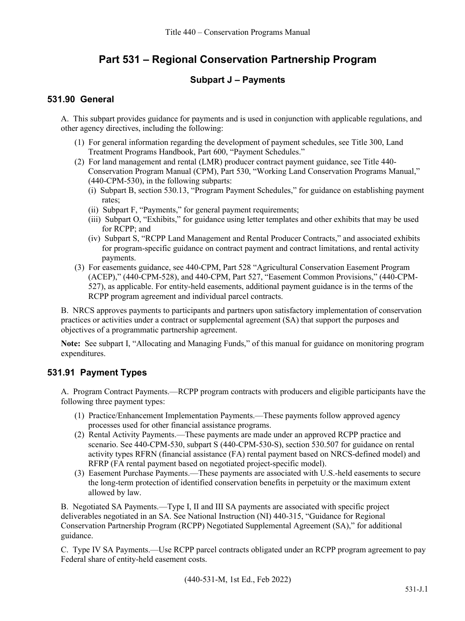# **Part 531 – Regional Conservation Partnership Program**

# **Subpart J – Payments**

## **531.90 General**

A. This subpart provides guidance for payments and is used in conjunction with applicable regulations, and other agency directives, including the following:

- (1) For general information regarding the development of payment schedules, see Title 300, Land Treatment Programs Handbook, Part 600, "Payment Schedules."
- (2) For land management and rental (LMR) producer contract payment guidance, see Title 440- Conservation Program Manual (CPM), Part 530, "Working Land Conservation Programs Manual," (440-CPM-530), in the following subparts:
	- (i) Subpart B, section 530.13, "Program Payment Schedules," for guidance on establishing payment rates;
	- (ii) Subpart F, "Payments," for general payment requirements;
	- (iii) Subpart O, "Exhibits," for guidance using letter templates and other exhibits that may be used for RCPP; and
	- (iv) Subpart S, "RCPP Land Management and Rental Producer Contracts," and associated exhibits for program-specific guidance on contract payment and contract limitations, and rental activity payments.
- (3) For easements guidance, see 440-CPM, Part 528 "Agricultural Conservation Easement Program (ACEP)," (440-CPM-528), and 440-CPM, Part 527, "Easement Common Provisions," (440-CPM-527), as applicable. For entity-held easements, additional payment guidance is in the terms of the RCPP program agreement and individual parcel contracts.

B. NRCS approves payments to participants and partners upon satisfactory implementation of conservation practices or activities under a contract or supplemental agreement (SA) that support the purposes and objectives of a programmatic partnership agreement.

**Note:** See subpart I, "Allocating and Managing Funds," of this manual for guidance on monitoring program expenditures.

# **531.91 Payment Types**

A. Program Contract Payments.—RCPP program contracts with producers and eligible participants have the following three payment types:

- (1) Practice/Enhancement Implementation Payments.—These payments follow approved agency processes used for other financial assistance programs.
- (2) Rental Activity Payments.—These payments are made under an approved RCPP practice and scenario. See 440-CPM-530, subpart S (440-CPM-530-S), section 530.507 for guidance on rental activity types RFRN (financial assistance (FA) rental payment based on NRCS-defined model) and RFRP (FA rental payment based on negotiated project-specific model).
- (3) Easement Purchase Payments.—These payments are associated with U.S.-held easements to secure the long-term protection of identified conservation benefits in perpetuity or the maximum extent allowed by law.

B. Negotiated SA Payments.—Type I, II and III SA payments are associated with specific project deliverables negotiated in an SA. See National Instruction (NI) 440-315, "Guidance for Regional Conservation Partnership Program (RCPP) Negotiated Supplemental Agreement (SA)," for additional guidance.

C. Type IV SA Payments.—Use RCPP parcel contracts obligated under an RCPP program agreement to pay Federal share of entity-held easement costs.

(440-531-M, 1st Ed., Feb 2022)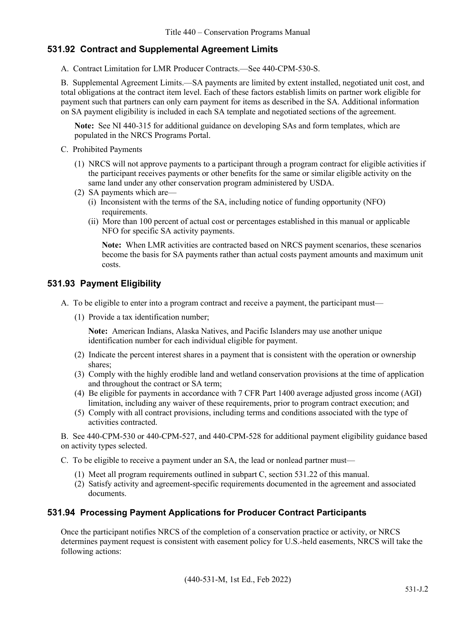## **531.92 Contract and Supplemental Agreement Limits**

A. Contract Limitation for LMR Producer Contracts.—See 440-CPM-530-S.

B. Supplemental Agreement Limits.—SA payments are limited by extent installed, negotiated unit cost, and total obligations at the contract item level. Each of these factors establish limits on partner work eligible for payment such that partners can only earn payment for items as described in the SA. Additional information on SA payment eligibility is included in each SA template and negotiated sections of the agreement.

**Note:** See NI 440-315 for additional guidance on developing SAs and form templates, which are populated in the NRCS Programs Portal.

- C. Prohibited Payments
	- (1) NRCS will not approve payments to a participant through a program contract for eligible activities if the participant receives payments or other benefits for the same or similar eligible activity on the same land under any other conservation program administered by USDA.
	- (2) SA payments which are—
		- (i) Inconsistent with the terms of the SA, including notice of funding opportunity (NFO) requirements.
		- (ii) More than 100 percent of actual cost or percentages established in this manual or applicable NFO for specific SA activity payments.

**Note:** When LMR activities are contracted based on NRCS payment scenarios, these scenarios become the basis for SA payments rather than actual costs payment amounts and maximum unit costs.

#### **531.93 Payment Eligibility**

- A. To be eligible to enter into a program contract and receive a payment, the participant must—
	- (1) Provide a tax identification number;

**Note:** American Indians, Alaska Natives, and Pacific Islanders may use another unique identification number for each individual eligible for payment.

- (2) Indicate the percent interest shares in a payment that is consistent with the operation or ownership shares;
- (3) Comply with the highly erodible land and wetland conservation provisions at the time of application and throughout the contract or SA term;
- (4) Be eligible for payments in accordance with 7 CFR Part 1400 average adjusted gross income (AGI) limitation, including any waiver of these requirements, prior to program contract execution; and
- (5) Comply with all contract provisions, including terms and conditions associated with the type of activities contracted.

B. See 440-CPM-530 or 440-CPM-527, and 440-CPM-528 for additional payment eligibility guidance based on activity types selected.

- C. To be eligible to receive a payment under an SA, the lead or nonlead partner must—
	- (1) Meet all program requirements outlined in subpart C, section 531.22 of this manual.
	- (2) Satisfy activity and agreement-specific requirements documented in the agreement and associated documents.

## **531.94 Processing Payment Applications for Producer Contract Participants**

Once the participant notifies NRCS of the completion of a conservation practice or activity, or NRCS determines payment request is consistent with easement policy for U.S.-held easements, NRCS will take the following actions: